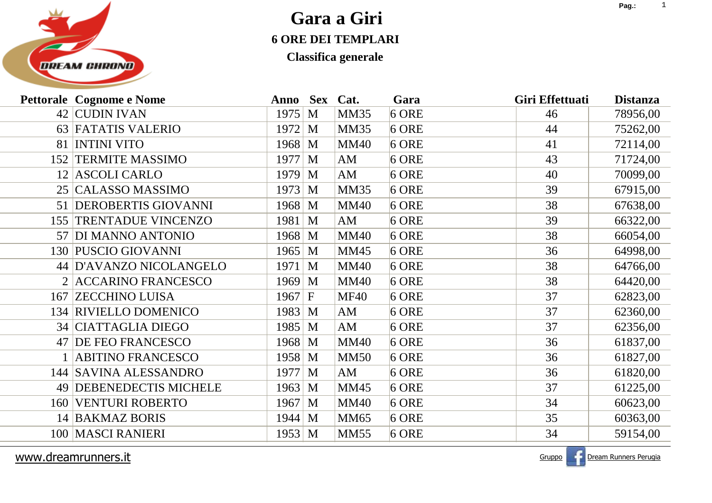

**Classifica generale**

|     | <b>Pettorale Cognome e Nome</b> | Anno Sex           |   | Cat.        | Gara    | Giri Effettuati | <b>Distanza</b> |
|-----|---------------------------------|--------------------|---|-------------|---------|-----------------|-----------------|
|     | 42 CUDIN IVAN                   | 1975               | M | <b>MM35</b> | $6$ ORE | 46              | 78956,00        |
|     | 63 FATATIS VALERIO              | $1972 \, M$        |   | <b>MM35</b> | $6$ ORE | 44              | 75262,00        |
| 81  | <b>INTINI VITO</b>              | 1968 M             |   | <b>MM40</b> | $6$ ORE | 41              | 72114,00        |
| 152 | <b>TERMITE MASSIMO</b>          | 1977 M             |   | AM          | $6$ ORE | 43              | 71724,00        |
|     | 12 ASCOLI CARLO                 | $1979 \, M$        |   | AM          | $6$ ORE | 40              | 70099,00        |
|     | 25   CALASSO MASSIMO            | $1973 \, M$        |   | <b>MM35</b> | $6$ ORE | 39              | 67915,00        |
|     | 51 DEROBERTIS GIOVANNI          | $1968 \, M$        |   | <b>MM40</b> | $6$ ORE | 38              | 67638,00        |
| 155 | TRENTADUE VINCENZO              | $1981 \, M$        |   | AM          | $6$ ORE | 39              | 66322,00        |
|     | 57 DI MANNO ANTONIO             | 1968 M             |   | <b>MM40</b> | $6$ ORE | 38              | 66054,00        |
|     | 130 PUSCIO GIOVANNI             | $1965 \, M$        |   | <b>MM45</b> | $6$ ORE | 36              | 64998,00        |
|     | 44 D'AVANZO NICOLANGELO         | $1971 \, M$        |   | <b>MM40</b> | $6$ ORE | 38              | 64766,00        |
|     | 2 ACCARINO FRANCESCO            | $1969 \, M$        |   | <b>MM40</b> | $6$ ORE | 38              | 64420,00        |
|     | <b>167 ZECCHINO LUISA</b>       | $1967 \, \text{F}$ |   | <b>MF40</b> | $6$ ORE | 37              | 62823,00        |
|     | 134 RIVIELLO DOMENICO           | 1983 M             |   | AM          | $6$ ORE | 37              | 62360,00        |
|     | 34 CIATTAGLIA DIEGO             | 1985 M             |   | AM          | $6$ ORE | 37              | 62356,00        |
|     | 47 DE FEO FRANCESCO             | $1968 \, M$        |   | <b>MM40</b> | $6$ ORE | 36              | 61837,00        |
|     | <b>ABITINO FRANCESCO</b>        | $1958 \, M$        |   | <b>MM50</b> | $6$ ORE | 36              | 61827,00        |
|     | 144 SAVINA ALESSANDRO           | $1977 \, M$        |   | AM          | $6$ ORE | 36              | 61820,00        |
|     | 49 DEBENEDECTIS MICHELE         | 1963 M             |   | <b>MM45</b> | $6$ ORE | 37              | 61225,00        |
| 160 | <b>VENTURI ROBERTO</b>          | 1967 M             |   | <b>MM40</b> | $6$ ORE | 34              | 60623,00        |
|     | 14 BAKMAZ BORIS                 | $1944 \, M$        |   | <b>MM65</b> | $6$ ORE | 35              | 60363,00        |
|     | 100   MASCI RANIERI             | 1953 M             |   | <b>MM55</b> | $6$ ORE | 34              | 59154,00        |

www.dreamrunners.it

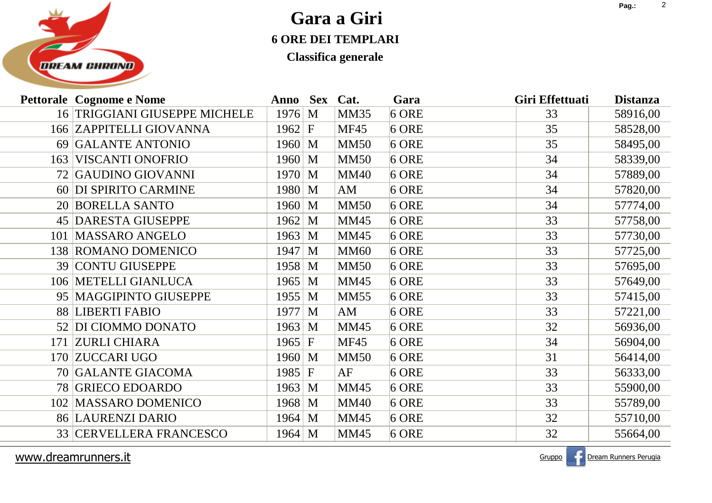

**Classifica generale**

| <b>Pettorale Cognome e Nome</b> | Anno Sex           |   | Cat.        | Gara    | Giri Effettuati | <b>Distanza</b> |
|---------------------------------|--------------------|---|-------------|---------|-----------------|-----------------|
| 16 TRIGGIANI GIUSEPPE MICHELE   | $1976 \, M$        |   | <b>MM35</b> | $6$ ORE | 33              | 58916,00        |
| 166 ZAPPITELLI GIOVANNA         | $1962 \mid F$      |   | <b>MF45</b> | $6$ ORE | 35              | 58528,00        |
| 69 GALANTE ANTONIO              | $1960 \mid M$      |   | <b>MM50</b> | $6$ ORE | 35              | 58495,00        |
| 163 VISCANTI ONOFRIO            | $1960 \, \text{M}$ |   | <b>MM50</b> | $6$ ORE | 34              | 58339,00        |
| 72 GAUDINO GIOVANNI             | $1970 \, \text{M}$ |   | <b>MM40</b> | $6$ ORE | 34              | 57889,00        |
| 60 DI SPIRITO CARMINE           | $1980 \, M$        |   | AM          | $6$ ORE | 34              | 57820,00        |
| 20 BORELLA SANTO                | $1960 \, M$        |   | <b>MM50</b> | $6$ ORE | 34              | 57774,00        |
| <b>45 DARESTA GIUSEPPE</b>      | 1962               | M | <b>MM45</b> | $6$ ORE | 33              | 57758,00        |
| <b>MASSARO ANGELO</b><br>101    | $1963 \, M$        |   | <b>MM45</b> | $6$ ORE | 33              | 57730,00        |
| 138 ROMANO DOMENICO             | $1947 \, M$        |   | <b>MM60</b> | $6$ ORE | 33              | 57725,00        |
| 39 CONTU GIUSEPPE               | 1958 M             |   | <b>MM50</b> | $6$ ORE | 33              | 57695,00        |
| 106 METELLI GIANLUCA            | $1965 \, M$        |   | <b>MM45</b> | $6$ ORE | 33              | 57649,00        |
| 95 MAGGIPINTO GIUSEPPE          | $1955 \, M$        |   | <b>MM55</b> | $6$ ORE | 33              | 57415,00        |
| 88 LIBERTI FABIO                | $1977 \, M$        |   | AM          | $6$ ORE | 33              | 57221,00        |
| 52 DI CIOMMO DONATO             | $1963 \, M$        |   | <b>MM45</b> | $6$ ORE | 32              | 56936,00        |
| 171 ZURLI CHIARA                | $1965 \mid F$      |   | <b>MF45</b> | $6$ ORE | 34              | 56904,00        |
| 170 ZUCCARI UGO                 | $1960 \, \text{M}$ |   | <b>MM50</b> | $6$ ORE | 31              | 56414,00        |
| 70 GALANTE GIACOMA              | 1985 F             |   | AF          | $6$ ORE | 33              | 56333,00        |
| 78 GRIECO EDOARDO               | $1963 \, M$        |   | <b>MM45</b> | $6$ ORE | 33              | 55900,00        |
| <b>MASSARO DOMENICO</b><br>102  | 1968 M             |   | <b>MM40</b> | $6$ ORE | 33              | 55789,00        |
| <b>86 LAURENZI DARIO</b>        | $1964 \, M$        |   | <b>MM45</b> | $6$ ORE | 32              | 55710,00        |
| <b>33 CERVELLERA FRANCESCO</b>  | $1964 \, M$        |   | <b>MM45</b> | $6$ ORE | 32              | 55664,00        |

www.dreamrunners.it

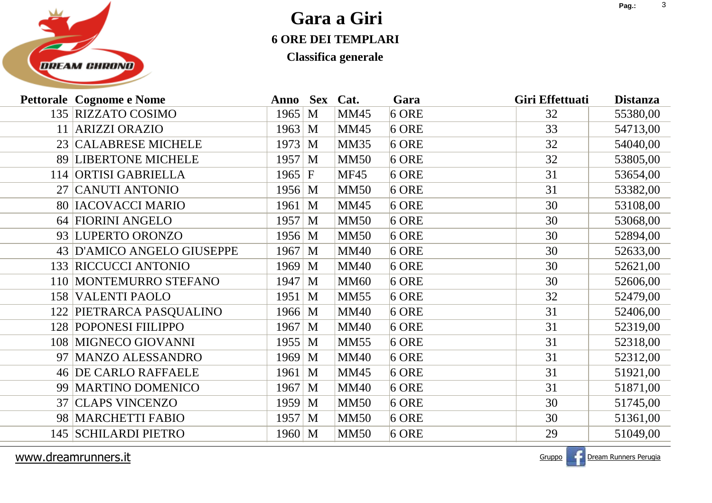

**Classifica generale**

| 135 RIZZATO COSIMO<br>$6$ ORE<br>1965 M<br><b>MM45</b><br>55380,00<br>32<br>11 ARIZZI ORAZIO<br><b>MM45</b><br>$6$ ORE<br>33<br>$1963 \, M$<br>54713,00<br>23 CALABRESE MICHELE<br>1973<br><b>MM35</b><br>$6$ ORE<br>32<br>M<br>54040,00<br>89 LIBERTONE MICHELE<br>$1957 \, M$<br><b>MM50</b><br>$6$ ORE<br>32<br>53805,00<br>114 ORTISI GABRIELLA<br>31<br>$1965 \, \text{F}$<br><b>MF45</b><br>$6$ ORE<br>53654,00<br>27 CANUTI ANTONIO<br>$6$ ORE<br>31<br>$1956 \, M$<br><b>MM50</b><br>53382,00<br><b>80 IACOVACCI MARIO</b><br><b>MM45</b><br>$6$ ORE<br>30<br>53108,00<br>1961 M<br>64 FIORINI ANGELO<br>$1957 \, M$<br><b>MM50</b><br>30<br>$6$ ORE<br>53068,00<br>93 LUPERTO ORONZO<br>$1956 \, M$<br><b>MM50</b><br>$6$ ORE<br>30<br>52894,00<br>30<br>43 D'AMICO ANGELO GIUSEPPE<br>1967 M<br><b>MM40</b><br>$6$ ORE<br>52633,00<br>133 RICCUCCI ANTONIO<br>1969<br><b>MM40</b><br>$6$ ORE<br>30<br>52621,00<br>M<br>110 MONTEMURRO STEFANO<br><b>MM60</b><br>$6$ ORE<br>30<br>1947 M<br>52606,00<br><b>158 VALENTI PAOLO</b><br>1951 M<br><b>MM55</b><br>$6$ ORE<br>32<br>52479,00<br>122 PIETRARCA PASQUALINO<br>31<br><b>MM40</b><br>$6$ ORE<br>$1966 \, M$<br>52406,00<br>128 POPONESI FIILIPPO<br>1967 M<br><b>MM40</b><br>$6$ ORE<br>31<br>52319,00<br>108 MIGNECO GIOVANNI<br><b>MM55</b><br>31<br>1955 M<br>$6$ ORE<br>52318,00<br>MANZO ALESSANDRO<br><b>MM40</b><br>$6$ ORE<br>31<br>52312,00<br>1969<br>M<br>97<br><b>46 DE CARLO RAFFAELE</b><br>31<br>1961 M<br><b>MM45</b><br>$6$ ORE<br>51921,00<br>99 MARTINO DOMENICO<br>1967 M<br><b>MM40</b><br>$6$ ORE<br>31<br>51871,00<br><b>CLAPS VINCENZO</b><br><b>MM50</b><br>$6$ ORE<br>30<br>1959<br>51745,00<br>37<br>M<br>98 MARCHETTI FABIO<br>30<br><b>MM50</b><br>$6$ ORE<br>51361,00<br>1957 M<br>145 SCHILARDI PIETRO<br>29<br><b>MM50</b><br>$6$ ORE<br>51049,00<br>$1960 \, M$ | <b>Pettorale Cognome e Nome</b> | Anno | <b>Sex</b> | Cat. | Gara | Giri Effettuati | <b>Distanza</b> |
|-----------------------------------------------------------------------------------------------------------------------------------------------------------------------------------------------------------------------------------------------------------------------------------------------------------------------------------------------------------------------------------------------------------------------------------------------------------------------------------------------------------------------------------------------------------------------------------------------------------------------------------------------------------------------------------------------------------------------------------------------------------------------------------------------------------------------------------------------------------------------------------------------------------------------------------------------------------------------------------------------------------------------------------------------------------------------------------------------------------------------------------------------------------------------------------------------------------------------------------------------------------------------------------------------------------------------------------------------------------------------------------------------------------------------------------------------------------------------------------------------------------------------------------------------------------------------------------------------------------------------------------------------------------------------------------------------------------------------------------------------------------------------------------------------------------------------------------------------------------------|---------------------------------|------|------------|------|------|-----------------|-----------------|
|                                                                                                                                                                                                                                                                                                                                                                                                                                                                                                                                                                                                                                                                                                                                                                                                                                                                                                                                                                                                                                                                                                                                                                                                                                                                                                                                                                                                                                                                                                                                                                                                                                                                                                                                                                                                                                                                 |                                 |      |            |      |      |                 |                 |
|                                                                                                                                                                                                                                                                                                                                                                                                                                                                                                                                                                                                                                                                                                                                                                                                                                                                                                                                                                                                                                                                                                                                                                                                                                                                                                                                                                                                                                                                                                                                                                                                                                                                                                                                                                                                                                                                 |                                 |      |            |      |      |                 |                 |
|                                                                                                                                                                                                                                                                                                                                                                                                                                                                                                                                                                                                                                                                                                                                                                                                                                                                                                                                                                                                                                                                                                                                                                                                                                                                                                                                                                                                                                                                                                                                                                                                                                                                                                                                                                                                                                                                 |                                 |      |            |      |      |                 |                 |
|                                                                                                                                                                                                                                                                                                                                                                                                                                                                                                                                                                                                                                                                                                                                                                                                                                                                                                                                                                                                                                                                                                                                                                                                                                                                                                                                                                                                                                                                                                                                                                                                                                                                                                                                                                                                                                                                 |                                 |      |            |      |      |                 |                 |
|                                                                                                                                                                                                                                                                                                                                                                                                                                                                                                                                                                                                                                                                                                                                                                                                                                                                                                                                                                                                                                                                                                                                                                                                                                                                                                                                                                                                                                                                                                                                                                                                                                                                                                                                                                                                                                                                 |                                 |      |            |      |      |                 |                 |
|                                                                                                                                                                                                                                                                                                                                                                                                                                                                                                                                                                                                                                                                                                                                                                                                                                                                                                                                                                                                                                                                                                                                                                                                                                                                                                                                                                                                                                                                                                                                                                                                                                                                                                                                                                                                                                                                 |                                 |      |            |      |      |                 |                 |
|                                                                                                                                                                                                                                                                                                                                                                                                                                                                                                                                                                                                                                                                                                                                                                                                                                                                                                                                                                                                                                                                                                                                                                                                                                                                                                                                                                                                                                                                                                                                                                                                                                                                                                                                                                                                                                                                 |                                 |      |            |      |      |                 |                 |
|                                                                                                                                                                                                                                                                                                                                                                                                                                                                                                                                                                                                                                                                                                                                                                                                                                                                                                                                                                                                                                                                                                                                                                                                                                                                                                                                                                                                                                                                                                                                                                                                                                                                                                                                                                                                                                                                 |                                 |      |            |      |      |                 |                 |
|                                                                                                                                                                                                                                                                                                                                                                                                                                                                                                                                                                                                                                                                                                                                                                                                                                                                                                                                                                                                                                                                                                                                                                                                                                                                                                                                                                                                                                                                                                                                                                                                                                                                                                                                                                                                                                                                 |                                 |      |            |      |      |                 |                 |
|                                                                                                                                                                                                                                                                                                                                                                                                                                                                                                                                                                                                                                                                                                                                                                                                                                                                                                                                                                                                                                                                                                                                                                                                                                                                                                                                                                                                                                                                                                                                                                                                                                                                                                                                                                                                                                                                 |                                 |      |            |      |      |                 |                 |
|                                                                                                                                                                                                                                                                                                                                                                                                                                                                                                                                                                                                                                                                                                                                                                                                                                                                                                                                                                                                                                                                                                                                                                                                                                                                                                                                                                                                                                                                                                                                                                                                                                                                                                                                                                                                                                                                 |                                 |      |            |      |      |                 |                 |
|                                                                                                                                                                                                                                                                                                                                                                                                                                                                                                                                                                                                                                                                                                                                                                                                                                                                                                                                                                                                                                                                                                                                                                                                                                                                                                                                                                                                                                                                                                                                                                                                                                                                                                                                                                                                                                                                 |                                 |      |            |      |      |                 |                 |
|                                                                                                                                                                                                                                                                                                                                                                                                                                                                                                                                                                                                                                                                                                                                                                                                                                                                                                                                                                                                                                                                                                                                                                                                                                                                                                                                                                                                                                                                                                                                                                                                                                                                                                                                                                                                                                                                 |                                 |      |            |      |      |                 |                 |
|                                                                                                                                                                                                                                                                                                                                                                                                                                                                                                                                                                                                                                                                                                                                                                                                                                                                                                                                                                                                                                                                                                                                                                                                                                                                                                                                                                                                                                                                                                                                                                                                                                                                                                                                                                                                                                                                 |                                 |      |            |      |      |                 |                 |
|                                                                                                                                                                                                                                                                                                                                                                                                                                                                                                                                                                                                                                                                                                                                                                                                                                                                                                                                                                                                                                                                                                                                                                                                                                                                                                                                                                                                                                                                                                                                                                                                                                                                                                                                                                                                                                                                 |                                 |      |            |      |      |                 |                 |
|                                                                                                                                                                                                                                                                                                                                                                                                                                                                                                                                                                                                                                                                                                                                                                                                                                                                                                                                                                                                                                                                                                                                                                                                                                                                                                                                                                                                                                                                                                                                                                                                                                                                                                                                                                                                                                                                 |                                 |      |            |      |      |                 |                 |
|                                                                                                                                                                                                                                                                                                                                                                                                                                                                                                                                                                                                                                                                                                                                                                                                                                                                                                                                                                                                                                                                                                                                                                                                                                                                                                                                                                                                                                                                                                                                                                                                                                                                                                                                                                                                                                                                 |                                 |      |            |      |      |                 |                 |
|                                                                                                                                                                                                                                                                                                                                                                                                                                                                                                                                                                                                                                                                                                                                                                                                                                                                                                                                                                                                                                                                                                                                                                                                                                                                                                                                                                                                                                                                                                                                                                                                                                                                                                                                                                                                                                                                 |                                 |      |            |      |      |                 |                 |
|                                                                                                                                                                                                                                                                                                                                                                                                                                                                                                                                                                                                                                                                                                                                                                                                                                                                                                                                                                                                                                                                                                                                                                                                                                                                                                                                                                                                                                                                                                                                                                                                                                                                                                                                                                                                                                                                 |                                 |      |            |      |      |                 |                 |
|                                                                                                                                                                                                                                                                                                                                                                                                                                                                                                                                                                                                                                                                                                                                                                                                                                                                                                                                                                                                                                                                                                                                                                                                                                                                                                                                                                                                                                                                                                                                                                                                                                                                                                                                                                                                                                                                 |                                 |      |            |      |      |                 |                 |
|                                                                                                                                                                                                                                                                                                                                                                                                                                                                                                                                                                                                                                                                                                                                                                                                                                                                                                                                                                                                                                                                                                                                                                                                                                                                                                                                                                                                                                                                                                                                                                                                                                                                                                                                                                                                                                                                 |                                 |      |            |      |      |                 |                 |
|                                                                                                                                                                                                                                                                                                                                                                                                                                                                                                                                                                                                                                                                                                                                                                                                                                                                                                                                                                                                                                                                                                                                                                                                                                                                                                                                                                                                                                                                                                                                                                                                                                                                                                                                                                                                                                                                 |                                 |      |            |      |      |                 |                 |

www.dreamrunners.it

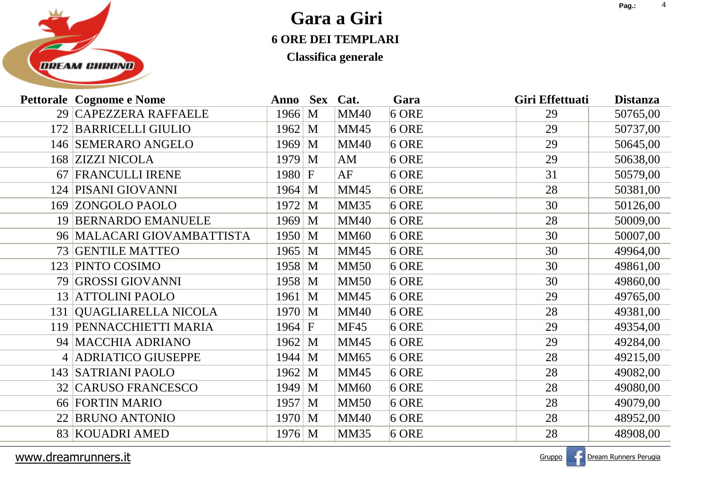

**Classifica generale**

|     | <b>Pettorale Cognome e Nome</b> | Anno Sex Cat.      |              |             | Gara    | Giri Effettuati | <b>Distanza</b> |
|-----|---------------------------------|--------------------|--------------|-------------|---------|-----------------|-----------------|
|     | 29 CAPEZZERA RAFFAELE           | 1966               | M            | <b>MM40</b> | $6$ ORE | 29              | 50765,00        |
|     | 172 BARRICELLI GIULIO           | $1962 \, M$        |              | <b>MM45</b> | $6$ ORE | 29              | 50737,00        |
|     | 146 SEMERARO ANGELO             | 1969               | M            | <b>MM40</b> | $6$ ORE | 29              | 50645,00        |
|     | 168 ZIZZI NICOLA                | 1979               | M            | AM          | $6$ ORE | 29              | 50638,00        |
| 67  | <b>FRANCULLI IRENE</b>          | 1980               | $\mathbf{F}$ | AF          | $6$ ORE | 31              | 50579,00        |
|     | 124 PISANI GIOVANNI             | $1964 \, M$        |              | <b>MM45</b> | $6$ ORE | 28              | 50381,00        |
|     | 169 ZONGOLO PAOLO               | 1972               | M            | <b>MM35</b> | $6$ ORE | 30              | 50126,00        |
| 19  | <b>BERNARDO EMANUELE</b>        | 1969               | M            | <b>MM40</b> | $6$ ORE | 28              | 50009,00        |
|     | 96 MALACARI GIOVAMBATTISTA      | 1950               | M            | <b>MM60</b> | $6$ ORE | 30              | 50007,00        |
|     | 73 GENTILE MATTEO               | 1965               | M            | <b>MM45</b> | $6$ ORE | 30              | 49964,00        |
| 123 | PINTO COSIMO                    | 1958               | M            | <b>MM50</b> | $6$ ORE | 30              | 49861,00        |
| 79  | <b>GROSSI GIOVANNI</b>          | 1958               | M            | <b>MM50</b> | $6$ ORE | 30              | 49860,00        |
| 13  | <b>ATTOLINI PAOLO</b>           | 1961               | M            | <b>MM45</b> | $6$ ORE | 29              | 49765,00        |
| 131 | <b>QUAGLIARELLA NICOLA</b>      | 1970               | M            | <b>MM40</b> | $6$ ORE | 28              | 49381,00        |
| 119 | PENNACCHIETTI MARIA             | $1964 \, \text{F}$ |              | <b>MF45</b> | $6$ ORE | 29              | 49354,00        |
|     | 94 MACCHIA ADRIANO              | 1962               | M            | <b>MM45</b> | $6$ ORE | 29              | 49284,00        |
| 4   | <b>ADRIATICO GIUSEPPE</b>       | 1944               | M            | <b>MM65</b> | $6$ ORE | 28              | 49215,00        |
|     | 143 SATRIANI PAOLO              | 1962               | M            | <b>MM45</b> | $6$ ORE | 28              | 49082,00        |
|     | <b>32 CARUSO FRANCESCO</b>      | 1949               | M            | <b>MM60</b> | $6$ ORE | 28              | 49080,00        |
|     | 66 FORTIN MARIO                 | 1957               | M            | <b>MM50</b> | $6$ ORE | 28              | 49079,00        |
|     | 22 BRUNO ANTONIO                | 1970               | M            | <b>MM40</b> | $6$ ORE | 28              | 48952,00        |
|     | 83 KOUADRI AMED                 | $1976 \, M$        |              | <b>MM35</b> | $6$ ORE | 28              | 48908,00        |
|     |                                 |                    |              |             |         |                 |                 |

www.dreamrunners.it

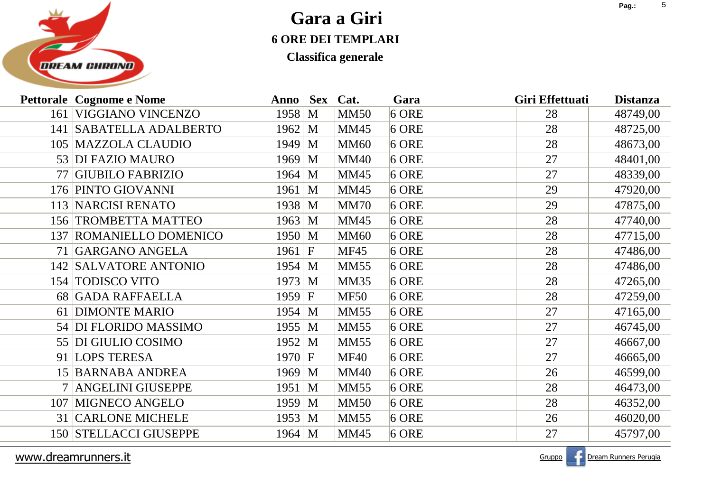

**Classifica generale**

|     | <b>Pettorale Cognome e Nome</b> | Anno Sex Cat.      |   |             | Gara    | Giri Effettuati | <b>Distanza</b> |
|-----|---------------------------------|--------------------|---|-------------|---------|-----------------|-----------------|
| 161 | <b>VIGGIANO VINCENZO</b>        | 1958 M             |   | <b>MM50</b> | $6$ ORE | 28              | 48749,00        |
|     | 141 SABATELLA ADALBERTO         | $1962 \, M$        |   | <b>MM45</b> | $6$ ORE | 28              | 48725,00        |
|     | 105 MAZZOLA CLAUDIO             | 1949               | M | <b>MM60</b> | $6$ ORE | 28              | 48673,00        |
|     | 53 DI FAZIO MAURO               | $1969 \, M$        |   | <b>MM40</b> | $6$ ORE | 27              | 48401,00        |
| 77  | <b>GIUBILO FABRIZIO</b>         | $1964 \, M$        |   | <b>MM45</b> | $6$ ORE | 27              | 48339,00        |
|     | 176 PINTO GIOVANNI              | $1961 \, M$        |   | <b>MM45</b> | $6$ ORE | 29              | 47920,00        |
|     | 113   NARCISI RENATO            | $1938 \, M$        |   | <b>MM70</b> | $6$ ORE | 29              | 47875,00        |
|     | 156 TROMBETTA MATTEO            | $1963 \, M$        |   | <b>MM45</b> | $6$ ORE | 28              | 47740,00        |
|     | 137 ROMANIELLO DOMENICO         | $1950 \, \text{M}$ |   | <b>MM60</b> | $6$ ORE | 28              | 47715,00        |
|     | 71 GARGANO ANGELA               | $1961 \, \text{F}$ |   | <b>MF45</b> | $6$ ORE | 28              | 47486,00        |
|     | 142 SALVATORE ANTONIO           | $1954 \, M$        |   | <b>MM55</b> | $6$ ORE | 28              | 47486,00        |
|     | 154 TODISCO VITO                | $1973 \, M$        |   | <b>MM35</b> | $6$ ORE | 28              | 47265,00        |
|     | 68 GADA RAFFAELLA               | 1959 F             |   | <b>MF50</b> | $6$ ORE | 28              | 47259,00        |
|     | 61 DIMONTE MARIO                | $1954 \, M$        |   | <b>MM55</b> | $6$ ORE | 27              | 47165,00        |
|     | 54 DI FLORIDO MASSIMO           | $1955 \, M$        |   | <b>MM55</b> | $6$ ORE | 27              | 46745,00        |
|     | 55 DI GIULIO COSIMO             | $1952 \, M$        |   | <b>MM55</b> | $6$ ORE | 27              | 46667,00        |
|     | 91 LOPS TERESA                  | $1970 \, \text{F}$ |   | <b>MF40</b> | $6$ ORE | 27              | 46665,00        |
|     | 15 BARNABA ANDREA               | $1969 \, M$        |   | <b>MM40</b> | $6$ ORE | 26              | 46599,00        |
|     | <b>ANGELINI GIUSEPPE</b>        | $1951 \, M$        |   | <b>MM55</b> | $6$ ORE | 28              | 46473,00        |
| 107 | <b>MIGNECO ANGELO</b>           | $1959 \, M$        |   | <b>MM50</b> | $6$ ORE | 28              | 46352,00        |
|     | <b>31 CARLONE MICHELE</b>       | $1953 \, M$        |   | <b>MM55</b> | $6$ ORE | 26              | 46020,00        |
|     | <b>150 STELLACCI GIUSEPPE</b>   | $1964 \, M$        |   | <b>MM45</b> | $6$ ORE | 27              | 45797,00        |
|     |                                 |                    |   |             |         |                 |                 |

www.dreamrunners.it

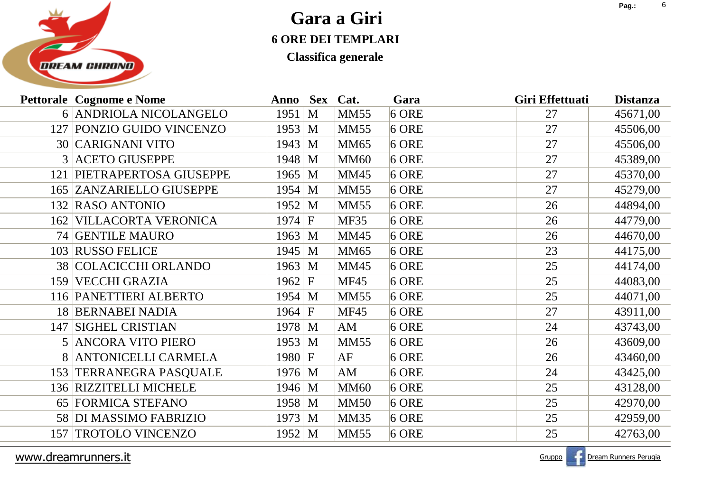

**Classifica generale**

| 6 ANDRIOLA NICOLANGELO<br>$6$ ORE<br>1951<br>M<br><b>MM55</b><br>45671,00<br>27<br>127 PONZIO GUIDO VINCENZO<br>$1953 \, M$<br>$6$ ORE<br>27<br><b>MM55</b><br>45506,00<br><b>30 CARIGNANI VITO</b><br>$1943 \, M$<br><b>MM65</b><br>$6$ ORE<br>27<br>45506,00<br>3 ACETO GIUSEPPE<br>$6$ ORE<br>$1948 \, M$<br><b>MM60</b><br>27<br>45389,00<br>121 PIETRAPERTOSA GIUSEPPE<br>$1965 \, M$<br><b>MM45</b><br>$6$ ORE<br>27<br>45370,00<br>$6$ ORE<br><b>165 ZANZARIELLO GIUSEPPE</b><br>$1954 \, M$<br><b>MM55</b><br>27<br>45279,00<br>132 RASO ANTONIO<br>$1952 \, M$<br><b>MM55</b><br>$6$ ORE<br>26<br>44894,00<br><b>VILLACORTA VERONICA</b><br>$1974 \, F$<br><b>MF35</b><br>$6$ ORE<br>44779,00<br>26<br>162<br>74 GENTILE MAURO<br><b>MM45</b><br>$6$ ORE<br>$1963 \, M$<br>44670,00<br>26<br>103 RUSSO FELICE<br>$6$ ORE<br>23<br>$1945 \, M$<br><b>MM65</b><br>44175,00<br><b>38 COLACICCHI ORLANDO</b><br>$1963 \, M$<br>$6$ ORE<br>25<br><b>MM45</b><br>44174,00<br><b>VECCHI GRAZIA</b><br><b>MF45</b><br>$6$ ORE<br>$1962 \mid F$<br>25<br>44083,00<br>159<br>116 PANETTIERI ALBERTO<br><b>MM55</b><br>$6$ ORE<br>25<br>$1954 \, M$<br>44071,00<br><b>18 BERNABEI NADIA</b><br><b>MF45</b><br>$6$ ORE<br>27<br>$1964 \, F$<br>43911,00<br><b>SIGHEL CRISTIAN</b><br>$1978$ M<br>$6$ ORE<br>24<br>43743,00<br>147<br>AM<br>5 ANCORA VITO PIERO<br>$1953 \, M$<br><b>MM55</b><br>$6$ ORE<br>26<br>43609,00<br>8 ANTONICELLI CARMELA<br>AF<br>$1980 \, \text{F}$<br>$6$ ORE<br>43460,00<br>26<br>153 TERRANEGRA PASQUALE<br>$1976 \, M$<br>$6$ ORE<br>24<br>AM<br>43425,00<br>136 RIZZITELLI MICHELE<br>$1946 \, M$<br><b>MM60</b><br>$6$ ORE<br>25<br>43128,00<br>FORMICA STEFANO<br>1958 M<br><b>MM50</b><br>$6$ ORE<br>42970,00<br>25<br>65<br>58 DI MASSIMO FABRIZIO<br>$6$ ORE<br>$1973 \, M$<br><b>MM35</b><br>25<br>42959,00<br><b>TROTOLO VINCENZO</b><br>1952 M<br><b>MM55</b><br>$6$ ORE<br>25<br>42763,00<br>157 | <b>Pettorale Cognome e Nome</b> | Anno Sex Cat. |  | Gara | Giri Effettuati | <b>Distanza</b> |
|----------------------------------------------------------------------------------------------------------------------------------------------------------------------------------------------------------------------------------------------------------------------------------------------------------------------------------------------------------------------------------------------------------------------------------------------------------------------------------------------------------------------------------------------------------------------------------------------------------------------------------------------------------------------------------------------------------------------------------------------------------------------------------------------------------------------------------------------------------------------------------------------------------------------------------------------------------------------------------------------------------------------------------------------------------------------------------------------------------------------------------------------------------------------------------------------------------------------------------------------------------------------------------------------------------------------------------------------------------------------------------------------------------------------------------------------------------------------------------------------------------------------------------------------------------------------------------------------------------------------------------------------------------------------------------------------------------------------------------------------------------------------------------------------------------------------------------------------------------------------------------------------------------------------------------------|---------------------------------|---------------|--|------|-----------------|-----------------|
|                                                                                                                                                                                                                                                                                                                                                                                                                                                                                                                                                                                                                                                                                                                                                                                                                                                                                                                                                                                                                                                                                                                                                                                                                                                                                                                                                                                                                                                                                                                                                                                                                                                                                                                                                                                                                                                                                                                                        |                                 |               |  |      |                 |                 |
|                                                                                                                                                                                                                                                                                                                                                                                                                                                                                                                                                                                                                                                                                                                                                                                                                                                                                                                                                                                                                                                                                                                                                                                                                                                                                                                                                                                                                                                                                                                                                                                                                                                                                                                                                                                                                                                                                                                                        |                                 |               |  |      |                 |                 |
|                                                                                                                                                                                                                                                                                                                                                                                                                                                                                                                                                                                                                                                                                                                                                                                                                                                                                                                                                                                                                                                                                                                                                                                                                                                                                                                                                                                                                                                                                                                                                                                                                                                                                                                                                                                                                                                                                                                                        |                                 |               |  |      |                 |                 |
|                                                                                                                                                                                                                                                                                                                                                                                                                                                                                                                                                                                                                                                                                                                                                                                                                                                                                                                                                                                                                                                                                                                                                                                                                                                                                                                                                                                                                                                                                                                                                                                                                                                                                                                                                                                                                                                                                                                                        |                                 |               |  |      |                 |                 |
|                                                                                                                                                                                                                                                                                                                                                                                                                                                                                                                                                                                                                                                                                                                                                                                                                                                                                                                                                                                                                                                                                                                                                                                                                                                                                                                                                                                                                                                                                                                                                                                                                                                                                                                                                                                                                                                                                                                                        |                                 |               |  |      |                 |                 |
|                                                                                                                                                                                                                                                                                                                                                                                                                                                                                                                                                                                                                                                                                                                                                                                                                                                                                                                                                                                                                                                                                                                                                                                                                                                                                                                                                                                                                                                                                                                                                                                                                                                                                                                                                                                                                                                                                                                                        |                                 |               |  |      |                 |                 |
|                                                                                                                                                                                                                                                                                                                                                                                                                                                                                                                                                                                                                                                                                                                                                                                                                                                                                                                                                                                                                                                                                                                                                                                                                                                                                                                                                                                                                                                                                                                                                                                                                                                                                                                                                                                                                                                                                                                                        |                                 |               |  |      |                 |                 |
|                                                                                                                                                                                                                                                                                                                                                                                                                                                                                                                                                                                                                                                                                                                                                                                                                                                                                                                                                                                                                                                                                                                                                                                                                                                                                                                                                                                                                                                                                                                                                                                                                                                                                                                                                                                                                                                                                                                                        |                                 |               |  |      |                 |                 |
|                                                                                                                                                                                                                                                                                                                                                                                                                                                                                                                                                                                                                                                                                                                                                                                                                                                                                                                                                                                                                                                                                                                                                                                                                                                                                                                                                                                                                                                                                                                                                                                                                                                                                                                                                                                                                                                                                                                                        |                                 |               |  |      |                 |                 |
|                                                                                                                                                                                                                                                                                                                                                                                                                                                                                                                                                                                                                                                                                                                                                                                                                                                                                                                                                                                                                                                                                                                                                                                                                                                                                                                                                                                                                                                                                                                                                                                                                                                                                                                                                                                                                                                                                                                                        |                                 |               |  |      |                 |                 |
|                                                                                                                                                                                                                                                                                                                                                                                                                                                                                                                                                                                                                                                                                                                                                                                                                                                                                                                                                                                                                                                                                                                                                                                                                                                                                                                                                                                                                                                                                                                                                                                                                                                                                                                                                                                                                                                                                                                                        |                                 |               |  |      |                 |                 |
|                                                                                                                                                                                                                                                                                                                                                                                                                                                                                                                                                                                                                                                                                                                                                                                                                                                                                                                                                                                                                                                                                                                                                                                                                                                                                                                                                                                                                                                                                                                                                                                                                                                                                                                                                                                                                                                                                                                                        |                                 |               |  |      |                 |                 |
|                                                                                                                                                                                                                                                                                                                                                                                                                                                                                                                                                                                                                                                                                                                                                                                                                                                                                                                                                                                                                                                                                                                                                                                                                                                                                                                                                                                                                                                                                                                                                                                                                                                                                                                                                                                                                                                                                                                                        |                                 |               |  |      |                 |                 |
|                                                                                                                                                                                                                                                                                                                                                                                                                                                                                                                                                                                                                                                                                                                                                                                                                                                                                                                                                                                                                                                                                                                                                                                                                                                                                                                                                                                                                                                                                                                                                                                                                                                                                                                                                                                                                                                                                                                                        |                                 |               |  |      |                 |                 |
|                                                                                                                                                                                                                                                                                                                                                                                                                                                                                                                                                                                                                                                                                                                                                                                                                                                                                                                                                                                                                                                                                                                                                                                                                                                                                                                                                                                                                                                                                                                                                                                                                                                                                                                                                                                                                                                                                                                                        |                                 |               |  |      |                 |                 |
|                                                                                                                                                                                                                                                                                                                                                                                                                                                                                                                                                                                                                                                                                                                                                                                                                                                                                                                                                                                                                                                                                                                                                                                                                                                                                                                                                                                                                                                                                                                                                                                                                                                                                                                                                                                                                                                                                                                                        |                                 |               |  |      |                 |                 |
|                                                                                                                                                                                                                                                                                                                                                                                                                                                                                                                                                                                                                                                                                                                                                                                                                                                                                                                                                                                                                                                                                                                                                                                                                                                                                                                                                                                                                                                                                                                                                                                                                                                                                                                                                                                                                                                                                                                                        |                                 |               |  |      |                 |                 |
|                                                                                                                                                                                                                                                                                                                                                                                                                                                                                                                                                                                                                                                                                                                                                                                                                                                                                                                                                                                                                                                                                                                                                                                                                                                                                                                                                                                                                                                                                                                                                                                                                                                                                                                                                                                                                                                                                                                                        |                                 |               |  |      |                 |                 |
|                                                                                                                                                                                                                                                                                                                                                                                                                                                                                                                                                                                                                                                                                                                                                                                                                                                                                                                                                                                                                                                                                                                                                                                                                                                                                                                                                                                                                                                                                                                                                                                                                                                                                                                                                                                                                                                                                                                                        |                                 |               |  |      |                 |                 |
|                                                                                                                                                                                                                                                                                                                                                                                                                                                                                                                                                                                                                                                                                                                                                                                                                                                                                                                                                                                                                                                                                                                                                                                                                                                                                                                                                                                                                                                                                                                                                                                                                                                                                                                                                                                                                                                                                                                                        |                                 |               |  |      |                 |                 |
|                                                                                                                                                                                                                                                                                                                                                                                                                                                                                                                                                                                                                                                                                                                                                                                                                                                                                                                                                                                                                                                                                                                                                                                                                                                                                                                                                                                                                                                                                                                                                                                                                                                                                                                                                                                                                                                                                                                                        |                                 |               |  |      |                 |                 |
|                                                                                                                                                                                                                                                                                                                                                                                                                                                                                                                                                                                                                                                                                                                                                                                                                                                                                                                                                                                                                                                                                                                                                                                                                                                                                                                                                                                                                                                                                                                                                                                                                                                                                                                                                                                                                                                                                                                                        |                                 |               |  |      |                 |                 |

www.dreamrunners.it

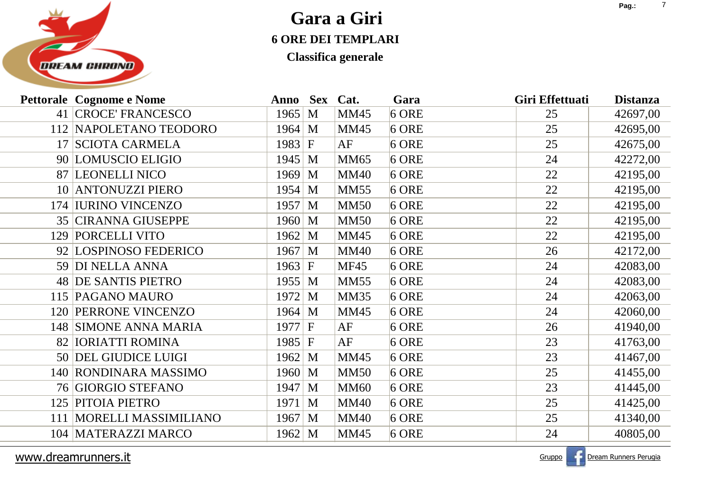

**Classifica generale**

|     | <b>Pettorale Cognome e Nome</b> | Anno Sex           |   | Cat.        | Gara    | Giri Effettuati | <b>Distanza</b> |
|-----|---------------------------------|--------------------|---|-------------|---------|-----------------|-----------------|
|     | 41 CROCE' FRANCESCO             | 1965 M             |   | <b>MM45</b> | $6$ ORE | 25              | 42697,00        |
|     | 112 NAPOLETANO TEODORO          | $1964 \, M$        |   | <b>MM45</b> | $6$ ORE | 25              | 42695,00        |
|     | 17 SCIOTA CARMELA               | 1983 F             |   | AF          | $6$ ORE | 25              | 42675,00        |
|     | 90 LOMUSCIO ELIGIO              | $1945 \, M$        |   | <b>MM65</b> | $6$ ORE | 24              | 42272,00        |
|     | 87 LEONELLI NICO                | $1969 \, M$        |   | <b>MM40</b> | $6$ ORE | 22              | 42195,00        |
|     | 10 ANTONUZZI PIERO              | $1954 \, M$        |   | <b>MM55</b> | $6$ ORE | 22              | 42195,00        |
|     | 174 IURINO VINCENZO             | 1957 M             |   | <b>MM50</b> | $6$ ORE | 22              | 42195,00        |
|     | <b>35 CIRANNA GIUSEPPE</b>      | $1960 \, \text{M}$ |   | <b>MM50</b> | $6$ ORE | 22              | 42195,00        |
|     | 129 PORCELLI VITO               | 1962               | M | <b>MM45</b> | $6$ ORE | 22              | 42195,00        |
|     | 92 LOSPINOSO FEDERICO           | $1967 \, M$        |   | <b>MM40</b> | $6$ ORE | 26              | 42172,00        |
|     | 59 DI NELLA ANNA                | 1963 F             |   | <b>MF45</b> | $6$ ORE | 24              | 42083,00        |
|     | 48 DE SANTIS PIETRO             | $1955 \, M$        |   | <b>MM55</b> | $6$ ORE | 24              | 42083,00        |
|     | 115 PAGANO MAURO                | $1972 \,   M$      |   | <b>MM35</b> | $6$ ORE | 24              | 42063,00        |
|     | <b>120 PERRONE VINCENZO</b>     | $1964 \, M$        |   | <b>MM45</b> | $6$ ORE | 24              | 42060,00        |
|     | 148 SIMONE ANNA MARIA           | $1977 \, \text{F}$ |   | AF          | $6$ ORE | 26              | 41940,00        |
|     | 82 IORIATTI ROMINA              | 1985 F             |   | AF          | $6$ ORE | 23              | 41763,00        |
|     | 50 DEL GIUDICE LUIGI            | $1962 \, M$        |   | <b>MM45</b> | $6$ ORE | 23              | 41467,00        |
|     | 140 RONDINARA MASSIMO           | $1960 \, \text{M}$ |   | <b>MM50</b> | $6$ ORE | 25              | 41455,00        |
|     | 76 GIORGIO STEFANO              | 1947 M             |   | <b>MM60</b> | $6$ ORE | 23              | 41445,00        |
|     | 125 PITOIA PIETRO               | $1971 \, M$        |   | <b>MM40</b> | $6$ ORE | 25              | 41425,00        |
| 111 | MORELLI MASSIMILIANO            | 1967 M             |   | <b>MM40</b> | $6$ ORE | 25              | 41340,00        |
|     | 104   MATERAZZI MARCO           | 1962 M             |   | <b>MM45</b> | $6$ ORE | 24              | 40805,00        |
|     |                                 |                    |   |             |         |                 |                 |

www.dreamrunners.it



<u>t</u> de la communista de la communista de la communista de la communista de la communista de la communista de la communista de la communista de la communista de la communista de la communista de la communista de la communis